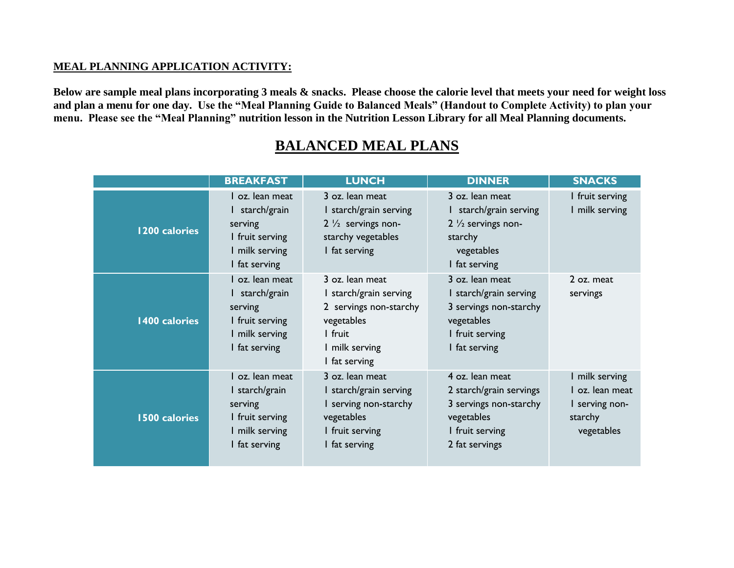## **MEAL PLANNING APPLICATION ACTIVITY:**

**Below are sample meal plans incorporating 3 meals & snacks. Please choose the calorie level that meets your need for weight loss and plan a menu for one day. Use the "Meal Planning Guide to Balanced Meals" (Handout to Complete Activity) to plan your menu. Please see the "Meal Planning" nutrition lesson in the Nutrition Lesson Library for all Meal Planning documents.**

|                      | <b>BREAKFAST</b>                                                                                   | <b>LUNCH</b>                                                                                                                  | <b>DINNER</b>                                                                                                           | <b>SNACKS</b>                                                            |
|----------------------|----------------------------------------------------------------------------------------------------|-------------------------------------------------------------------------------------------------------------------------------|-------------------------------------------------------------------------------------------------------------------------|--------------------------------------------------------------------------|
| 1200 calories        | I oz. lean meat<br>I starch/grain<br>serving<br>I fruit serving<br>I milk serving<br>I fat serving | 3 oz. lean meat<br>I starch/grain serving<br>$2\frac{1}{2}$ servings non-<br>starchy vegetables<br>I fat serving              | 3 oz. lean meat<br>I starch/grain serving<br>2 $\frac{1}{2}$ servings non-<br>starchy<br>vegetables<br>I fat serving    | I fruit serving<br>milk serving                                          |
| 1400 calories        | l oz. lean meat<br>I starch/grain<br>serving<br>I fruit serving<br>I milk serving<br>I fat serving | 3 oz. lean meat<br>starch/grain serving<br>2 servings non-starchy<br>vegetables<br>I fruit<br>I milk serving<br>I fat serving | 3 oz. lean meat<br>I starch/grain serving<br>3 servings non-starchy<br>vegetables<br>I fruit serving<br>I fat serving   | 2 oz. meat<br>servings                                                   |
| <b>1500 calories</b> | I oz. lean meat<br>I starch/grain<br>serving<br>I fruit serving<br>I milk serving<br>I fat serving | 3 oz. lean meat<br>I starch/grain serving<br>I serving non-starchy<br>vegetables<br>I fruit serving<br>I fat serving          | 4 oz. lean meat<br>2 starch/grain servings<br>3 servings non-starchy<br>vegetables<br>I fruit serving<br>2 fat servings | milk serving<br>oz. lean meat<br>I serving non-<br>starchy<br>vegetables |

## **BALANCED MEAL PLANS**